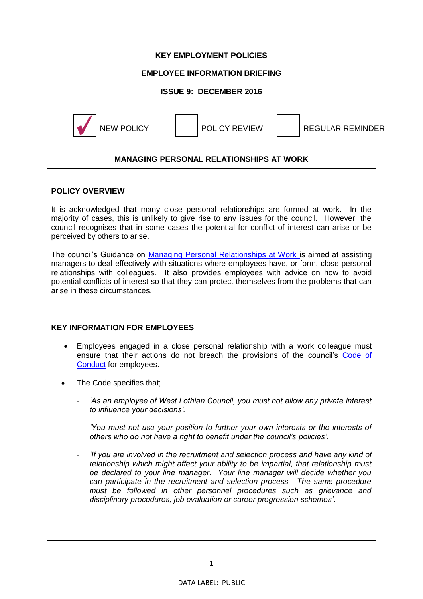## **KEY EMPLOYMENT POLICIES**

## **EMPLOYEE INFORMATION BRIEFING**

## **ISSUE 9: DECEMBER 2016**



NEW POLICY **NEW POLICY REVIEW REGULAR REMINDER** 

# **MANAGING PERSONAL RELATIONSHIPS AT WORK**

### **POLICY OVERVIEW**

It is acknowledged that many close personal relationships are formed at work. In the majority of cases, this is unlikely to give rise to any issues for the council. However, the council recognises that in some cases the potential for conflict of interest can arise or be perceived by others to arise.

The council's Guidance on [Managing Personal Relationships at Work i](https://www.westlothian.gov.uk/media/13825/Code-of-Conduct-Personal-Relationships-Guidance/pdf/CodeOfConductPersonalRelationshipsGuidance.pdf)s aimed at assisting managers to deal effectively with situations where employees have, or form, close personal relationships with colleagues. It also provides employees with advice on how to avoid potential conflicts of interest so that they can protect themselves from the problems that can arise in these circumstances.

#### **KEY INFORMATION FOR EMPLOYEES**

- Employees engaged in a close personal relationship with a work colleague must ensure that their actions do not breach the provisions of the council's [Code of](https://www.westlothian.gov.uk/media/1553/Code-of-Conduct/doc/CodeOfConductForEmployees.docx)  [Conduct](https://www.westlothian.gov.uk/media/1553/Code-of-Conduct/doc/CodeOfConductForEmployees.docx) for employees.
- The Code specifies that;
	- *'As an employee of West Lothian Council, you must not allow any private interest to influence your decisions'.*
	- 'You must not use your position to further your own interests or the interests of *others who do not have a right to benefit under the council's policies'.*
	- *'If you are involved in the recruitment and selection process and have any kind of relationship which might affect your ability to be impartial, that relationship must be declared to your line manager. Your line manager will decide whether you can participate in the recruitment and selection process. The same procedure must be followed in other personnel procedures such as grievance and disciplinary procedures, job evaluation or career progression schemes'*.